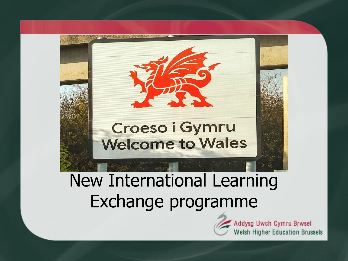

#### New International Learning Exchange programme

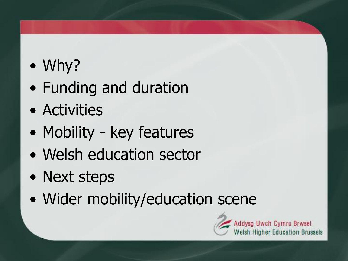- Why?
- Funding and duration
- Activities
- Mobility key features
- Welsh education sector
- Next steps
- Wider mobility/education scene

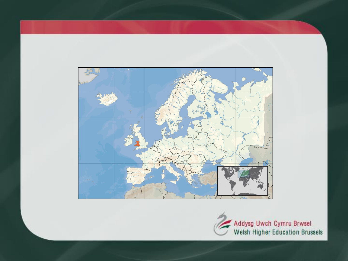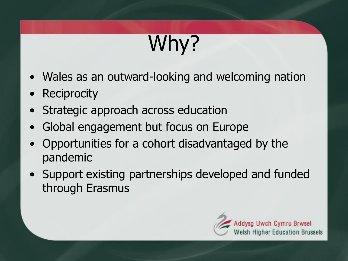# Why?

- Wales as an outward-looking and welcoming nation
- **Reciprocity**
- Strategic approach across education
- Global engagement but focus on Europe
- Opportunities for a cohort disadvantaged by the pandemic
- Support existing partnerships developed and funded through Erasmus

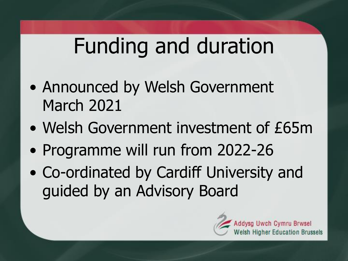## Funding and duration

- Announced by Welsh Government March 2021
- Welsh Government investment of £65m
- Programme will run from 2022-26
- Co-ordinated by Cardiff University and guided by an Advisory Board

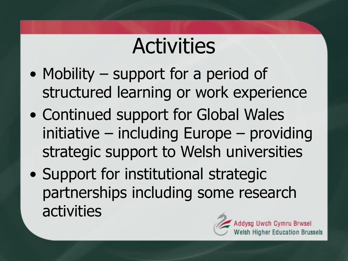### **Activities**

- Mobility support for a period of structured learning or work experience
- Continued support for Global Wales initiative – including Europe – providing strategic support to Welsh universities
- Support for institutional strategic partnerships including some research activities

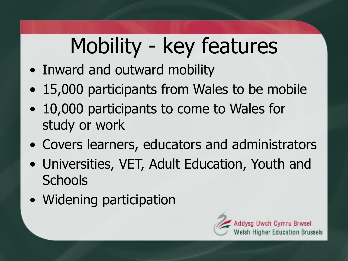# Mobility - key features

- Inward and outward mobility
- 15,000 participants from Wales to be mobile
- 10,000 participants to come to Wales for study or work
- Covers learners, educators and administrators
- Universities, VET, Adult Education, Youth and **Schools**
- Widening participation

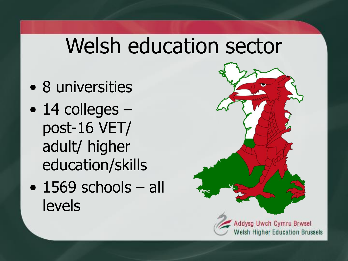### Welsh education sector

- 8 universities
- 14 colleges post-16 VET/ adult/ higher education/skills
- 1569 schools all levels

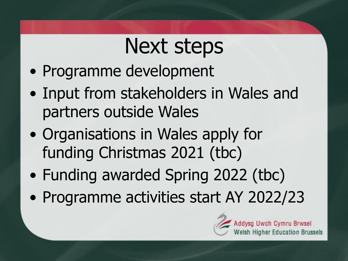### Next steps

- Programme development
- Input from stakeholders in Wales and partners outside Wales
- Organisations in Wales apply for funding Christmas 2021 (tbc)
- Funding awarded Spring 2022 (tbc)
- Programme activities start AY 2022/23

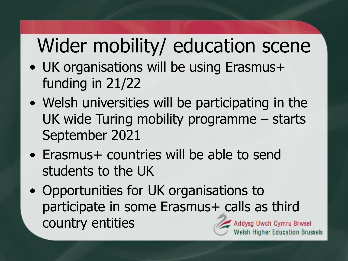### Wider mobility/ education scene

- UK organisations will be using Erasmus+ funding in 21/22
- Welsh universities will be participating in the UK wide Turing mobility programme – starts September 2021
- Erasmus+ countries will be able to send students to the UK
- Opportunities for UK organisations to participate in some Erasmus+ calls as third country entitiesAddysg Uwch Cymru Brwsel Ish Higher Education Brussels